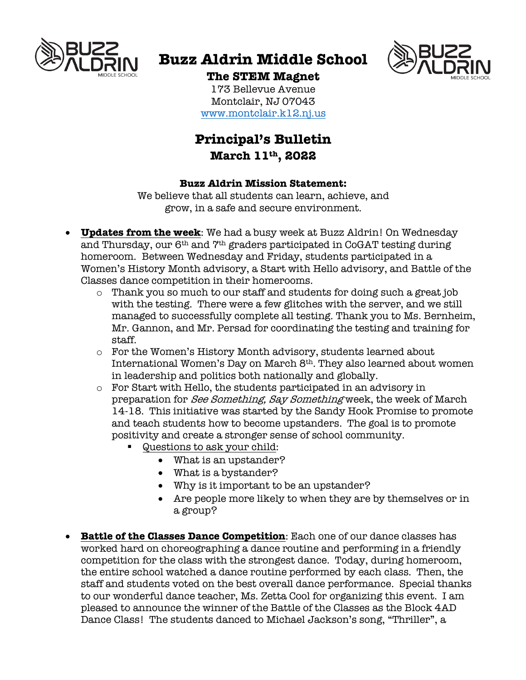

# **Buzz Aldrin Middle School**



## **The STEM Magnet**

173 Bellevue Avenue Montclair, NJ 07043 www.montclair.k12.nj.us

# **Principal's Bulletin March 11th, 2022**

### **Buzz Aldrin Mission Statement:**

We believe that all students can learn, achieve, and grow, in a safe and secure environment.

- **Updates from the week**: We had a busy week at Buzz Aldrin! On Wednesday and Thursday, our 6<sup>th</sup> and 7<sup>th</sup> graders participated in CoGAT testing during homeroom. Between Wednesday and Friday, students participated in a Women's History Month advisory, a Start with Hello advisory, and Battle of the Classes dance competition in their homerooms.
	- o Thank you so much to our staff and students for doing such a great job with the testing. There were a few glitches with the server, and we still managed to successfully complete all testing. Thank you to Ms. Bernheim, Mr. Gannon, and Mr. Persad for coordinating the testing and training for staff.
	- $\circ$  For the Women's History Month advisory, students learned about International Women's Day on March 8th. They also learned about women in leadership and politics both nationally and globally.
	- o For Start with Hello, the students participated in an advisory in preparation for See Something, Say Something week, the week of March 14-18. This initiative was started by the Sandy Hook Promise to promote and teach students how to become upstanders. The goal is to promote positivity and create a stronger sense of school community.
		- § Questions to ask your child:
			- What is an upstander?
			- What is a bystander?
			- Why is it important to be an upstander?
			- Are people more likely to when they are by themselves or in a group?
- **Battle of the Classes Dance Competition**: Each one of our dance classes has worked hard on choreographing a dance routine and performing in a friendly competition for the class with the strongest dance. Today, during homeroom, the entire school watched a dance routine performed by each class. Then, the staff and students voted on the best overall dance performance. Special thanks to our wonderful dance teacher, Ms. Zetta Cool for organizing this event. I am pleased to announce the winner of the Battle of the Classes as the Block 4AD Dance Class! The students danced to Michael Jackson's song, "Thriller", a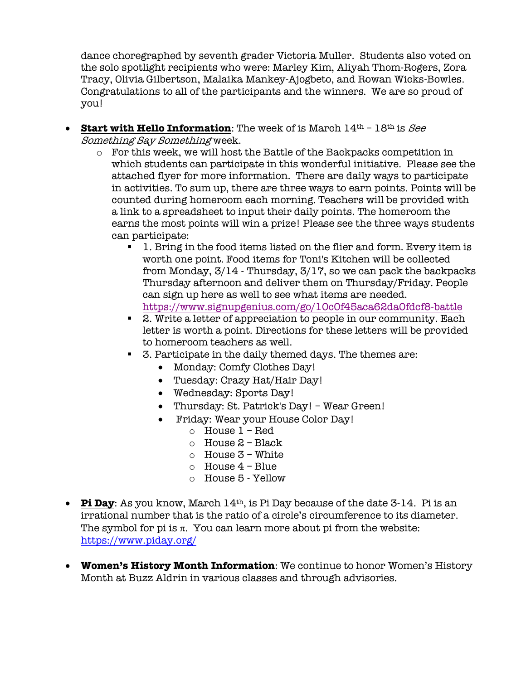dance choregraphed by seventh grader Victoria Muller. Students also voted on the solo spotlight recipients who were: Marley Kim, Aliyah Thom-Rogers, Zora Tracy, Olivia Gilbertson, Malaika Mankey-Ajogbeto, and Rowan Wicks-Bowles. Congratulations to all of the participants and the winners. We are so proud of you!

- **Start with Hello Information**: The week of is March  $14<sup>th</sup> 18<sup>th</sup>$  is See Something Say Something week.
	- o For this week, we will host the Battle of the Backpacks competition in which students can participate in this wonderful initiative. Please see the attached flyer for more information. There are daily ways to participate in activities. To sum up, there are three ways to earn points. Points will be counted during homeroom each morning. Teachers will be provided with a link to a spreadsheet to input their daily points. The homeroom the earns the most points will win a prize! Please see the three ways students can participate:
		- § 1. Bring in the food items listed on the flier and form. Every item is worth one point. Food items for Toni's Kitchen will be collected from Monday, 3/14 - Thursday, 3/17, so we can pack the backpacks Thursday afternoon and deliver them on Thursday/Friday. People can sign up here as well to see what items are needed. https://www.signupgenius.com/go/10c0f45aca62da0fdcf8-battle
		- 2. Write a letter of appreciation to people in our community. Each letter is worth a point. Directions for these letters will be provided to homeroom teachers as well.
		- 3. Participate in the daily themed days. The themes are:
			- Monday: Comfy Clothes Day!
			- Tuesday: Crazy Hat/Hair Day!
			- Wednesday: Sports Day!
			- Thursday: St. Patrick's Day! Wear Green!
			- Friday: Wear your House Color Day!
				- o House 1 Red
				- $\circ$  House 2 Black
				- o House 3 White
				- o House 4 Blue
				- o House 5 Yellow
- **Pi Day**: As you know, March 14<sup>th</sup>, is Pi Day because of the date 3-14. Pi is an irrational number that is the ratio of a circle's circumference to its diameter. The symbol for pi is  $\pi$ . You can learn more about pi from the website: https://www.piday.org/
- **Women's History Month Information**: We continue to honor Women's History Month at Buzz Aldrin in various classes and through advisories.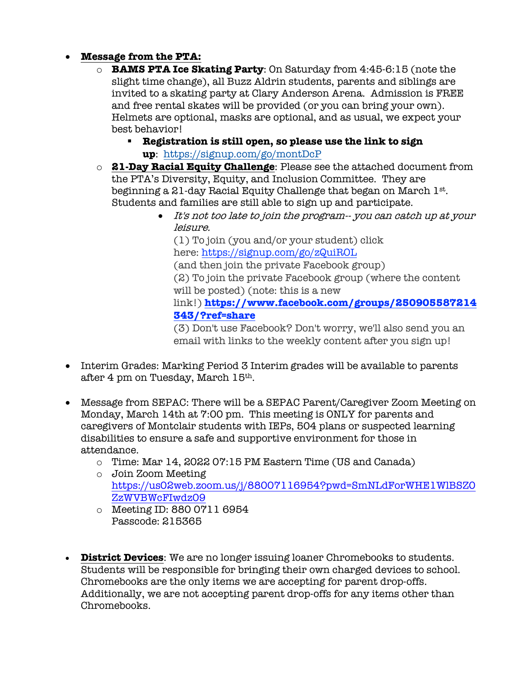## • **Message from the PTA:**

- o **BAMS PTA Ice Skating Party**: On Saturday from 4:45-6:15 (note the slight time change), all Buzz Aldrin students, parents and siblings are invited to a skating party at Clary Anderson Arena. Admission is FREE and free rental skates will be provided (or you can bring your own). Helmets are optional, masks are optional, and as usual, we expect your best behavior!
	- § **Registration is still open, so please use the link to sign up**: https://signup.com/go/montDcP
- o **21-Day Racial Equity Challenge**: Please see the attached document from the PTA's Diversity, Equity, and Inclusion Committee. They are beginning a 21-day Racial Equity Challenge that began on March 1st. Students and families are still able to sign up and participate.
	- It's not too late to join the program-- you can catch up at your leisure.

(1) To join (you and/or your student) click here: https://signup.com/go/zQuiROL (and then join the private Facebook group) (2) To join the private Facebook group (where the content will be posted) (note: this is a new link!) **https://www.facebook.com/groups/250905587214 343/?ref=share**

(3) Don't use Facebook? Don't worry, we'll also send you an email with links to the weekly content after you sign up!

- Interim Grades: Marking Period 3 Interim grades will be available to parents after 4 pm on Tuesday, March 15th.
- Message from SEPAC: There will be a SEPAC Parent/Caregiver Zoom Meeting on Monday, March 14th at 7:00 pm. This meeting is ONLY for parents and caregivers of Montclair students with IEPs, 504 plans or suspected learning disabilities to ensure a safe and supportive environment for those in attendance.
	- o Time: Mar 14, 2022 07:15 PM Eastern Time (US and Canada)
	- o Join Zoom Meeting https://us02web.zoom.us/j/88007116954?pwd=SmNLdForWHE1WlBSZ0 ZzWVBWcFIwdz09
	- o Meeting ID: 880 0711 6954 Passcode: 215365
- **District Devices**: We are no longer issuing loaner Chromebooks to students. Students will be responsible for bringing their own charged devices to school. Chromebooks are the only items we are accepting for parent drop-offs. Additionally, we are not accepting parent drop-offs for any items other than Chromebooks.